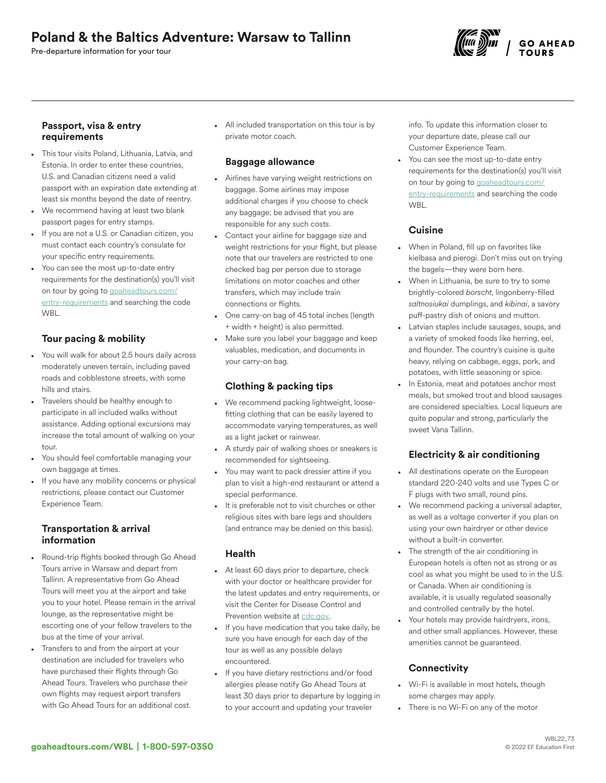# Poland & the Baltics Adventure: Warsaw to Tallinn

Pre-departure information for your tour



#### Passport, visa & entry requirements

- This tour visits Poland, Lithuania, Latvia, and Estonia. In order to enter these countries, U.S. and Canadian citizens need a valid passport with an expiration date extending at least six months beyond the date of reentry.
- We recommend having at least two blank passport pages for entry stamps.
- If you are not a U.S. or Canadian citizen, you must contact each country's consulate for your specific entry requirements.
- You can see the most up-to-date entry requirements for the destination(s) you'll visit on tour by going to [goaheadtours.com/](/entry-requirements?tourCode=WBL) [entry-requirements](/entry-requirements?tourCode=WBL) and searching the code WBL.

## Tour pacing & mobility

- You will walk for about 2.5 hours daily across moderately uneven terrain, including paved roads and cobblestone streets, with some hills and stairs.
- Travelers should be healthy enough to participate in all included walks without assistance. Adding optional excursions may increase the total amount of walking on your tour.
- You should feel comfortable managing your own baggage at times.
- If you have any mobility concerns or physical restrictions, please contact our Customer Experience Team.

## Transportation & arrival information

- Round-trip flights booked through Go Ahead Tours arrive in Warsaw and depart from Tallinn. A representative from Go Ahead Tours will meet you at the airport and take you to your hotel. Please remain in the arrival lounge, as the representative might be escorting one of your fellow travelers to the bus at the time of your arrival.
- Transfers to and from the airport at your destination are included for travelers who have purchased their flights through Go Ahead Tours. Travelers who purchase their own flights may request airport transfers with Go Ahead Tours for an additional cost.

• All included transportation on this tour is by private motor coach.

## Baggage allowance

- Airlines have varying weight restrictions on baggage. Some airlines may impose additional charges if you choose to check any baggage; be advised that you are responsible for any such costs.
- Contact your airline for baggage size and weight restrictions for your flight, but please note that our travelers are restricted to one checked bag per person due to storage limitations on motor coaches and other transfers, which may include train connections or flights.
- One carry-on bag of 45 total inches (length + width + height) is also permitted.
- Make sure you label your baggage and keep valuables, medication, and documents in your carry-on bag.

## Clothing & packing tips

- We recommend packing lightweight, loosefitting clothing that can be easily layered to accommodate varying temperatures, as well as a light jacket or rainwear.
- A sturdy pair of walking shoes or sneakers is recommended for sightseeing.
- You may want to pack dressier attire if you plan to visit a high-end restaurant or attend a special performance.
- It is preferable not to visit churches or other religious sites with bare legs and shoulders (and entrance may be denied on this basis).

## Health

- At least 60 days prior to departure, check with your doctor or healthcare provider for the latest updates and entry requirements, or visit the Center for Disease Control and Prevention website at [cdc.gov](https://www.cdc.gov/).
- If you have medication that you take daily, be sure you have enough for each day of the tour as well as any possible delays encountered.
- If you have dietary restrictions and/or food allergies please notify Go Ahead Tours at least 30 days prior to departure by logging in to your account and updating your traveler

info. To update this information closer to your departure date, please call our Customer Experience Team.

You can see the most up-to-date entry requirements for the destination(s) you'll visit on tour by going to [goaheadtours.com/](/entry-requirements?tourCode=WBL) [entry-requirements](/entry-requirements?tourCode=WBL) and searching the code WBL.

# **Cuisine**

- When in Poland, fill up on favorites like kielbasa and pierogi. Don't miss out on trying the bagels—they were born here.
- When in Lithuania, be sure to try to some brightly-colored *borscht*, lingonberry-filled *saltnosiukai* dumplings, and *kibinai*, a savory puff-pastry dish of onions and mutton.
- Latvian staples include sausages, soups, and a variety of smoked foods like herring, eel, and flounder. The country's cuisine is quite heavy, relying on cabbage, eggs, pork, and potatoes, with little seasoning or spice.
- In Estonia, meat and potatoes anchor most meals, but smoked trout and blood sausages are considered specialties. Local liqueurs are quite popular and strong, particularly the sweet Vana Tallinn.

# Electricity & air conditioning

- All destinations operate on the European standard 220-240 volts and use Types C or F plugs with two small, round pins.
- We recommend packing a universal adapter, as well as a voltage converter if you plan on using your own hairdryer or other device without a built-in converter.
- The strength of the air conditioning in European hotels is often not as strong or as cool as what you might be used to in the U.S. or Canada. When air conditioning is available, it is usually regulated seasonally and controlled centrally by the hotel.
- Your hotels may provide hairdryers, irons, and other small appliances. However, these amenities cannot be guaranteed.

# **Connectivity**

- Wi-Fi is available in most hotels, though some charges may apply.
- There is no Wi-Fi on any of the motor